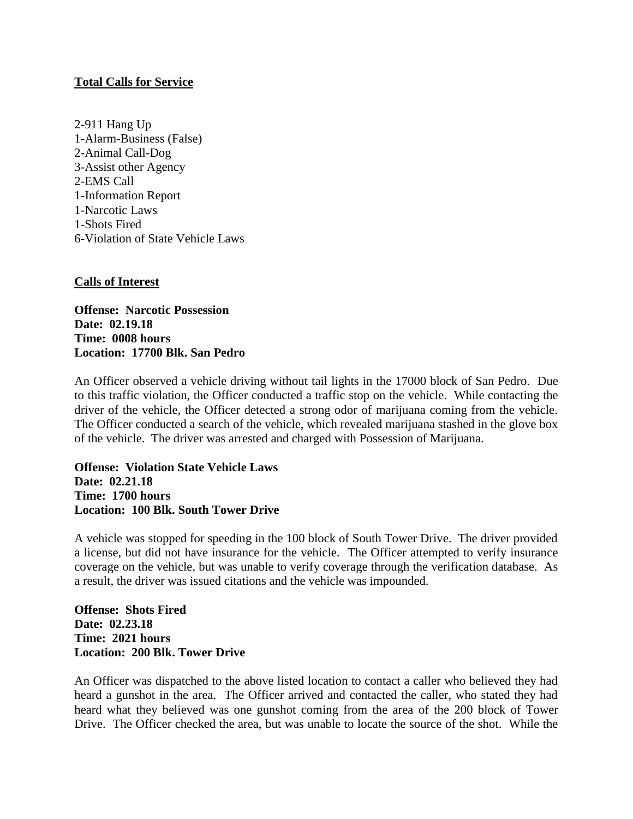## **Total Calls for Service**

2-911 Hang Up 1-Alarm-Business (False) 2-Animal Call-Dog 3-Assist other Agency 2-EMS Call 1-Information Report 1-Narcotic Laws 1-Shots Fired 6-Violation of State Vehicle Laws

## **Calls of Interest**

**Offense: Narcotic Possession Date: 02.19.18 Time: 0008 hours Location: 17700 Blk. San Pedro**

An Officer observed a vehicle driving without tail lights in the 17000 block of San Pedro. Due to this traffic violation, the Officer conducted a traffic stop on the vehicle. While contacting the driver of the vehicle, the Officer detected a strong odor of marijuana coming from the vehicle. The Officer conducted a search of the vehicle, which revealed marijuana stashed in the glove box of the vehicle. The driver was arrested and charged with Possession of Marijuana.

**Offense: Violation State Vehicle Laws Date: 02.21.18 Time: 1700 hours Location: 100 Blk. South Tower Drive**

A vehicle was stopped for speeding in the 100 block of South Tower Drive. The driver provided a license, but did not have insurance for the vehicle. The Officer attempted to verify insurance coverage on the vehicle, but was unable to verify coverage through the verification database. As a result, the driver was issued citations and the vehicle was impounded.

**Offense: Shots Fired Date: 02.23.18 Time: 2021 hours Location: 200 Blk. Tower Drive**

An Officer was dispatched to the above listed location to contact a caller who believed they had heard a gunshot in the area. The Officer arrived and contacted the caller, who stated they had heard what they believed was one gunshot coming from the area of the 200 block of Tower Drive. The Officer checked the area, but was unable to locate the source of the shot. While the